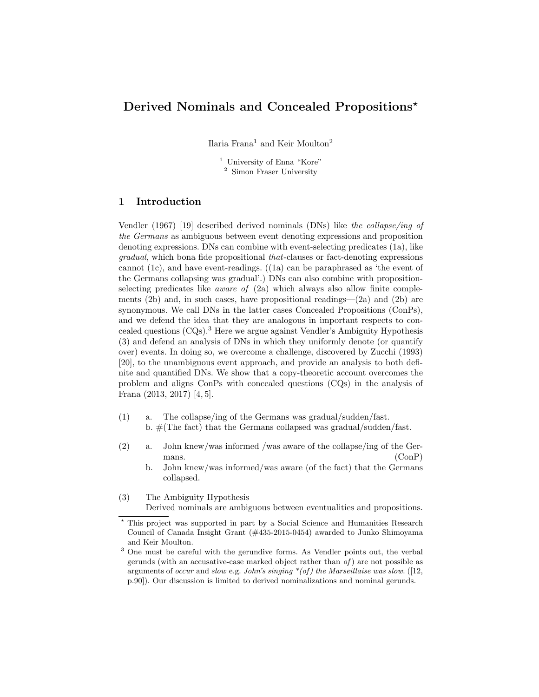# **Derived Nominals and Concealed Propositions***<sup>⋆</sup>*

Ilaria Frana<sup>1</sup> and Keir Moulton<sup>2</sup>

<sup>1</sup> University of Enna "Kore" <sup>2</sup> Simon Fraser University

## **1 Introduction**

Vendler (1967) [19] described derived nominals (DNs) like *the collapse/ing of the Germans* as ambiguous between event denoting expressions and proposition denoting expressions. DNs can combine with event-selecting predicates (1a), like *gradual*, which bona fide propositional *that*-clauses or fact-denoting expressions cannot (1c), and have event-readings. ((1a) can be paraphrased as 'the event of the Germans collapsing was gradual'.) DNs can also combine with propositionselecting predicates like *aware of* (2a) which always also allow finite complements  $(2b)$  and, in such cases, have propositional readings— $(2a)$  and  $(2b)$  are synonymous. We call DNs in the latter cases Concealed Propositions (ConPs), and we defend the idea that they are analogous in important respects to concealed questions (CQs).<sup>3</sup> Here we argue against Vendler's Ambiguity Hypothesis (3) and defend an analysis of DNs in which they uniformly denote (or quantify over) events. In doing so, we overcome a challenge, discovered by Zucchi (1993) [20], to the unambiguous event approach, and provide an analysis to both definite and quantified DNs. We show that a copy-theoretic account overcomes the problem and aligns ConPs with concealed questions (CQs) in the analysis of Frana (2013, 2017) [4, 5].

- (1) a. The collapse/ing of the Germans was gradual/sudden/fast. b. #(The fact) that the Germans collapsed was gradual/sudden/fast.
- (2) a. John knew/was informed /was aware of the collapse/ing of the Germans.  $(\text{ConP})$ 
	- b. John knew/was informed/was aware (of the fact) that the Germans collapsed.
- (3) The Ambiguity Hypothesis

Derived nominals are ambiguous between eventualities and propositions.

*<sup>⋆</sup>* This project was supported in part by a Social Science and Humanities Research Council of Canada Insight Grant (#435-2015-0454) awarded to Junko Shimoyama and Keir Moulton.

<sup>&</sup>lt;sup>3</sup> One must be careful with the gerundive forms. As Vendler points out, the verbal gerunds (with an accusative-case marked object rather than *of* ) are not possible as arguments of *occur* and *slow* e.g. *John's singing \*(of ) the Marseillaise was slow*. ([12, p.90]). Our discussion is limited to derived nominalizations and nominal gerunds.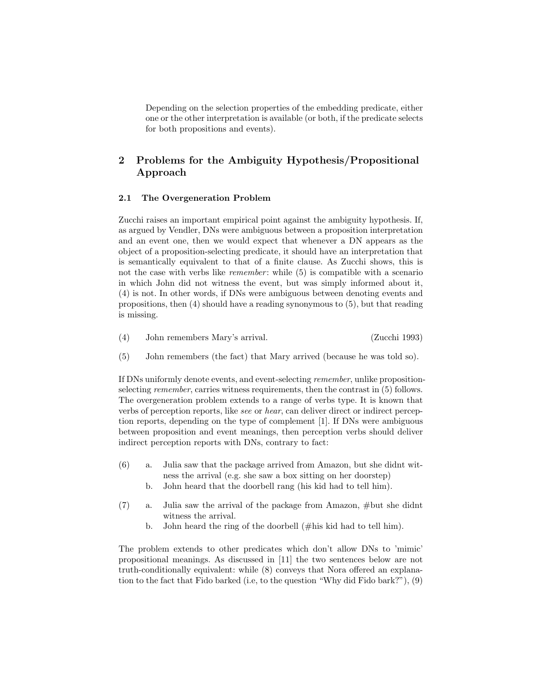Depending on the selection properties of the embedding predicate, either one or the other interpretation is available (or both, if the predicate selects for both propositions and events).

# **2 Problems for the Ambiguity Hypothesis/Propositional Approach**

### **2.1 The Overgeneration Problem**

Zucchi raises an important empirical point against the ambiguity hypothesis. If, as argued by Vendler, DNs were ambiguous between a proposition interpretation and an event one, then we would expect that whenever a DN appears as the object of a proposition-selecting predicate, it should have an interpretation that is semantically equivalent to that of a finite clause. As Zucchi shows, this is not the case with verbs like *remember*: while (5) is compatible with a scenario in which John did not witness the event, but was simply informed about it, (4) is not. In other words, if DNs were ambiguous between denoting events and propositions, then (4) should have a reading synonymous to (5), but that reading is missing.

- (4) John remembers Mary's arrival. (Zucchi 1993)
- (5) John remembers (the fact) that Mary arrived (because he was told so).

If DNs uniformly denote events, and event-selecting *remember*, unlike propositionselecting *remember*, carries witness requirements, then the contrast in (5) follows. The overgeneration problem extends to a range of verbs type. It is known that verbs of perception reports, like *see* or *hear*, can deliver direct or indirect perception reports, depending on the type of complement [1]. If DNs were ambiguous between proposition and event meanings, then perception verbs should deliver indirect perception reports with DNs, contrary to fact:

- (6) a. Julia saw that the package arrived from Amazon, but she didnt witness the arrival (e.g. she saw a box sitting on her doorstep)
	- b. John heard that the doorbell rang (his kid had to tell him).
- $(7)$  a. Julia saw the arrival of the package from Amazon, #but she didnt witness the arrival.
	- b. John heard the ring of the doorbell (#his kid had to tell him).

The problem extends to other predicates which don't allow DNs to 'mimic' propositional meanings. As discussed in [11] the two sentences below are not truth-conditionally equivalent: while (8) conveys that Nora offered an explanation to the fact that Fido barked (i.e, to the question "Why did Fido bark?"), (9)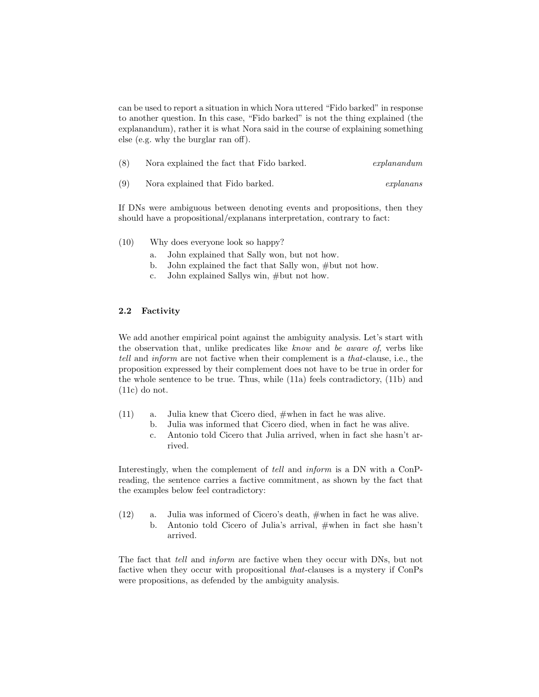can be used to report a situation in which Nora uttered "Fido barked" in response to another question. In this case, "Fido barked" is not the thing explained (the explanandum), rather it is what Nora said in the course of explaining something else (e.g. why the burglar ran off).

| (8) | Nora explained the fact that Fido barked. | explan and um |
|-----|-------------------------------------------|---------------|
| (9) | Nora explained that Fido barked.          | explanans     |

If DNs were ambiguous between denoting events and propositions, then they should have a propositional/explanans interpretation, contrary to fact:

- (10) Why does everyone look so happy?
	- a. John explained that Sally won, but not how.
	- b. John explained the fact that Sally won, #but not how.
	- c. John explained Sallys win, #but not how.

# **2.2 Factivity**

We add another empirical point against the ambiguity analysis. Let's start with the observation that, unlike predicates like *know* and *be aware of*, verbs like *tell* and *inform* are not factive when their complement is a *that*-clause, i.e., the proposition expressed by their complement does not have to be true in order for the whole sentence to be true. Thus, while (11a) feels contradictory, (11b) and (11c) do not.

- (11) a. Julia knew that Cicero died, #when in fact he was alive.
	- b. Julia was informed that Cicero died, when in fact he was alive.
	- c. Antonio told Cicero that Julia arrived, when in fact she hasn't arrived.

Interestingly, when the complement of *tell* and *inform* is a DN with a ConPreading, the sentence carries a factive commitment, as shown by the fact that the examples below feel contradictory:

- (12) a. Julia was informed of Cicero's death, #when in fact he was alive.
	- b. Antonio told Cicero of Julia's arrival, #when in fact she hasn't arrived.

The fact that *tell* and *inform* are factive when they occur with DNs, but not factive when they occur with propositional *that*-clauses is a mystery if ConPs were propositions, as defended by the ambiguity analysis.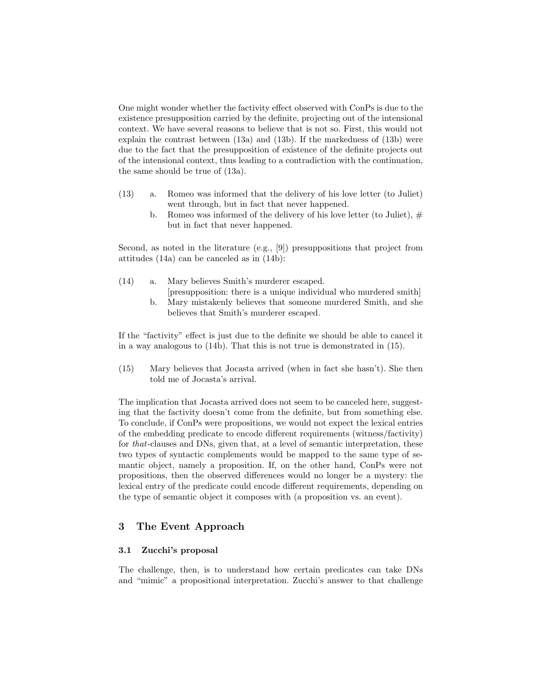One might wonder whether the factivity effect observed with ConPs is due to the existence presupposition carried by the definite, projecting out of the intensional context. We have several reasons to believe that is not so. First, this would not explain the contrast between (13a) and (13b). If the markedness of (13b) were due to the fact that the presupposition of existence of the definite projects out of the intensional context, thus leading to a contradiction with the continuation, the same should be true of (13a).

- (13) a. Romeo was informed that the delivery of his love letter (to Juliet) went through, but in fact that never happened.
	- b. Romeo was informed of the delivery of his love letter (to Juliet),  $#$ but in fact that never happened.

Second, as noted in the literature (e.g., [9]) presuppositions that project from attitudes (14a) can be canceled as in (14b):

- (14) a. Mary believes Smith's murderer escaped.
	- [presupposition: there is a unique individual who murdered smith] b. Mary mistakenly believes that someone murdered Smith, and she believes that Smith's murderer escaped.

If the "factivity" effect is just due to the definite we should be able to cancel it in a way analogous to (14b). That this is not true is demonstrated in (15).

(15) Mary believes that Jocasta arrived (when in fact she hasn't). She then told me of Jocasta's arrival.

The implication that Jocasta arrived does not seem to be canceled here, suggesting that the factivity doesn't come from the definite, but from something else. To conclude, if ConPs were propositions, we would not expect the lexical entries of the embedding predicate to encode different requirements (witness/factivity) for *that*-clauses and DNs, given that, at a level of semantic interpretation, these two types of syntactic complements would be mapped to the same type of semantic object, namely a proposition. If, on the other hand, ConPs were not propositions, then the observed differences would no longer be a mystery: the lexical entry of the predicate could encode different requirements, depending on the type of semantic object it composes with (a proposition vs. an event).

# **3 The Event Approach**

#### **3.1 Zucchi's proposal**

The challenge, then, is to understand how certain predicates can take DNs and "mimic" a propositional interpretation. Zucchi's answer to that challenge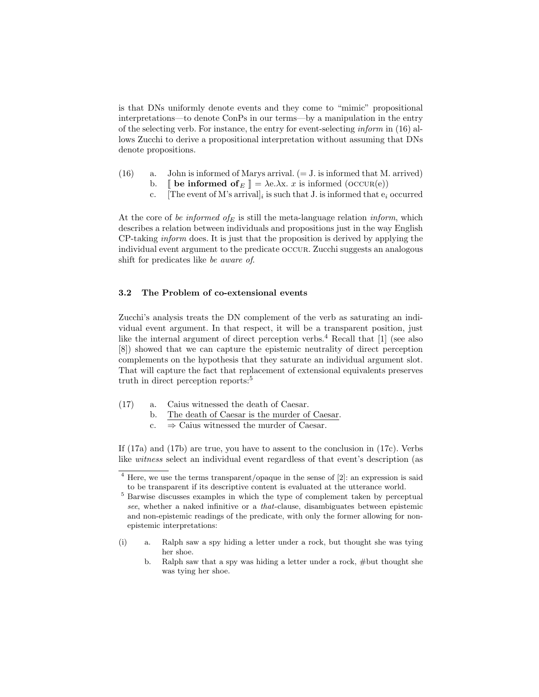is that DNs uniformly denote events and they come to "mimic" propositional interpretations—to denote ConPs in our terms—by a manipulation in the entry of the selecting verb. For instance, the entry for event-selecting *inform* in (16) allows Zucchi to derive a propositional interpretation without assuming that DNs denote propositions.

- $(16)$  a. John is informed of Marys arrival.  $(= J.$  is informed that M. arrived)
	- b. **[** be informed of  $E$  **]** =  $\lambda$ e. $\lambda$ x. *x* is informed (OCCUR(e)) c. [The event of M's arrival], is such that J. is informed that  $e_i$ c. [The event of M's arrival]<sub>*i*</sub> is such that J. is informed that  $e_i$  occurred

At the core of *be informed of<sup>E</sup>* is still the meta-language relation *inform*, which describes a relation between individuals and propositions just in the way English CP-taking *inform* does. It is just that the proposition is derived by applying the individual event argument to the predicate occur. Zucchi suggests an analogous shift for predicates like *be aware of*.

### **3.2 The Problem of co-extensional events**

Zucchi's analysis treats the DN complement of the verb as saturating an individual event argument. In that respect, it will be a transparent position, just like the internal argument of direct perception verbs.<sup>4</sup> Recall that [1] (see also [8]) showed that we can capture the epistemic neutrality of direct perception complements on the hypothesis that they saturate an individual argument slot. That will capture the fact that replacement of extensional equivalents preserves truth in direct perception reports:<sup>5</sup>

- (17) a. Caius witnessed the death of Caesar.
	- b. The death of Caesar is the murder of Caesar.
	- c. *⇒* Caius witnessed the murder of Caesar.

If (17a) and (17b) are true, you have to assent to the conclusion in (17c). Verbs like *witness* select an individual event regardless of that event's description (as

 $\frac{4}{4}$  Here, we use the terms transparent/opaque in the sense of [2]: an expression is said to be transparent if its descriptive content is evaluated at the utterance world.

<sup>5</sup> Barwise discusses examples in which the type of complement taken by perceptual *see*, whether a naked infinitive or a *that*-clause, disambiguates between epistemic and non-epistemic readings of the predicate, with only the former allowing for nonepistemic interpretations:

<sup>(</sup>i) a. Ralph saw a spy hiding a letter under a rock, but thought she was tying her shoe.

b. Ralph saw that a spy was hiding a letter under a rock, #but thought she was tying her shoe.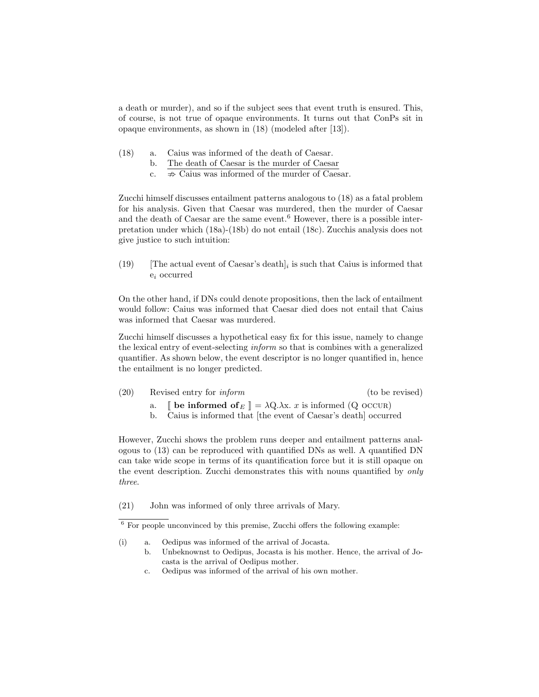a death or murder), and so if the subject sees that event truth is ensured. This, of course, is not true of opaque environments. It turns out that ConPs sit in opaque environments, as shown in (18) (modeled after [13]).

- (18) a. Caius was informed of the death of Caesar.
	- b. The death of Caesar is the murder of Caesar
	- c.  $\Rightarrow$  Caius was informed of the murder of Caesar.

Zucchi himself discusses entailment patterns analogous to (18) as a fatal problem for his analysis. Given that Caesar was murdered, then the murder of Caesar and the death of Caesar are the same event.<sup>6</sup> However, there is a possible interpretation under which (18a)-(18b) do not entail (18c). Zucchis analysis does not give justice to such intuition:

(19) [The actual event of Caesar's death $j_i$  is such that Caius is informed that e*<sup>i</sup>* occurred

On the other hand, if DNs could denote propositions, then the lack of entailment would follow: Caius was informed that Caesar died does not entail that Caius was informed that Caesar was murdered.

Zucchi himself discusses a hypothetical easy fix for this issue, namely to change the lexical entry of event-selecting *inform* so that is combines with a generalized quantifier. As shown below, the event descriptor is no longer quantified in, hence the entailment is no longer predicted.

- (20) Revised entry for *inform* (to be revised)
	- a. **[** be informed of  $E$  **]** =  $\lambda Q.\lambda x$ . *x* is informed (Q occurs) b. Caius is informed that [the event of Caesar's death] occurr
	- b. Caius is informed that [the event of Caesar's death] occurred

However, Zucchi shows the problem runs deeper and entailment patterns analogous to (13) can be reproduced with quantified DNs as well. A quantified DN can take wide scope in terms of its quantification force but it is still opaque on the event description. Zucchi demonstrates this with nouns quantified by *only three*.

(21) John was informed of only three arrivals of Mary.

 $6$  For people unconvinced by this premise, Zucchi offers the following example:

- (i) a. Oedipus was informed of the arrival of Jocasta.
	- b. Unbeknownst to Oedipus, Jocasta is his mother. Hence, the arrival of Jocasta is the arrival of Oedipus mother.
	- c. Oedipus was informed of the arrival of his own mother.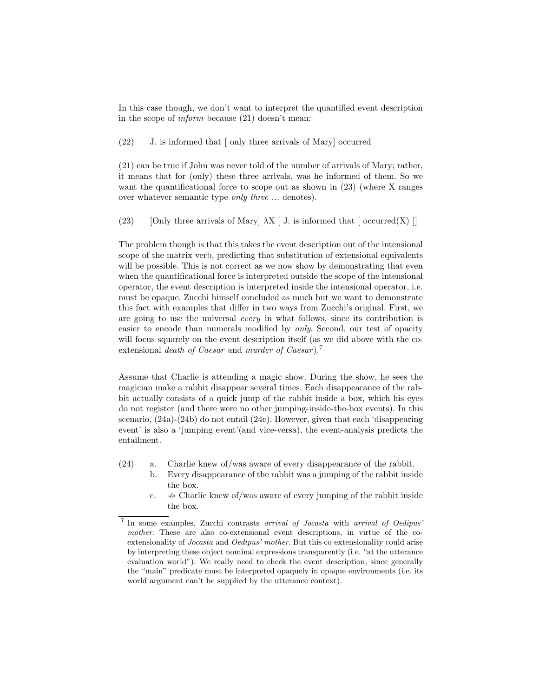In this case though, we don't want to interpret the quantified event description in the scope of *inform* because (21) doesn't mean:

(22) J. is informed that [ only three arrivals of Mary] occurred

(21) can be true if John was never told of the number of arrivals of Mary; rather, it means that for (only) these three arrivals, was he informed of them. So we want the quantificational force to scope out as shown in  $(23)$  (where X ranges over whatever semantic type *only three ...* denotes).

(23) [Only three arrivals of Mary]  $\lambda X$  [ J. is informed that  $\alpha$  [ occurred(X) ]]

The problem though is that this takes the event description out of the intensional scope of the matrix verb, predicting that substitution of extensional equivalents will be possible. This is not correct as we now show by demonstrating that even when the quantificational force is interpreted outside the scope of the intensional operator, the event description is interpreted inside the intensional operator, i.e. must be opaque. Zucchi himself concluded as much but we want to demonstrate this fact with examples that differ in two ways from Zucchi's original. First, we are going to use the universal *every* in what follows, since its contribution is easier to encode than numerals modified by *only*. Second, our test of opacity will focus squarely on the event description itself (as we did above with the coextensional *death of Caesar* and *murder of Caesar* ).<sup>7</sup>

Assume that Charlie is attending a magic show. During the show, he sees the magician make a rabbit disappear several times. Each disappearance of the rabbit actually consists of a quick jump of the rabbit inside a box, which his eyes do not register (and there were no other jumping-inside-the-box events). In this scenario, (24a)-(24b) do not entail (24c). However, given that each 'disappearing event' is also a 'jumping event'(and vice-versa), the event-analysis predicts the entailment.

- (24) a. Charlie knew of/was aware of every disappearance of the rabbit.
	- b. Every disappearance of the rabbit was a jumping of the rabbit inside the box.
		- c.  $\Rightarrow$  Charlie knew of/was aware of every jumping of the rabbit inside the box.

<sup>7</sup> In some examples, Zucchi contrasts *arrival of Jocasta* with *arrival of Oedipus' mother*. These are also co-extensional event descriptions, in virtue of the coextensionality of *Jocasta* and *Oedipus' mother*. But this co-extensionality could arise by interpreting these object nominal expressions transparently (i.e. "at the utterance evaluation world"). We really need to check the event description, since generally the "main" predicate must be interpreted opaquely in opaque environments (i.e. its world argument can't be supplied by the utterance context).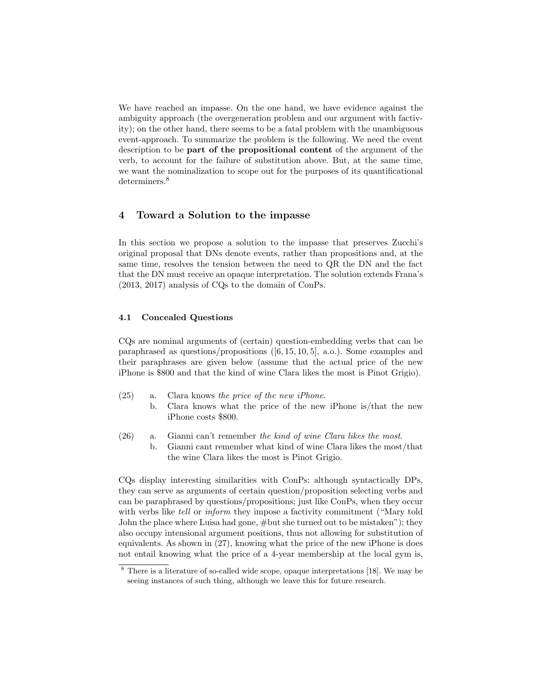We have reached an impasse. On the one hand, we have evidence against the ambiguity approach (the overgeneration problem and our argument with factivity); on the other hand, there seems to be a fatal problem with the unambiguous event-approach. To summarize the problem is the following. We need the event description to be **part of the propositional content** of the argument of the verb, to account for the failure of substitution above. But, at the same time, we want the nominalization to scope out for the purposes of its quantificational determiners.<sup>8</sup>

# **4 Toward a Solution to the impasse**

In this section we propose a solution to the impasse that preserves Zucchi's original proposal that DNs denote events, rather than propositions and, at the same time, resolves the tension between the need to QR the DN and the fact that the DN must receive an opaque interpretation. The solution extends Frana's (2013, 2017) analysis of CQs to the domain of ConPs.

#### **4.1 Concealed Questions**

CQs are nominal arguments of (certain) question-embedding verbs that can be paraphrased as questions/propositions  $([6, 15, 10, 5], \text{ a.o.})$ . Some examples and their paraphrases are given below (assume that the actual price of the new iPhone is \$800 and that the kind of wine Clara likes the most is Pinot Grigio).

- (25) a. Clara knows *the price of the new iPhone*.
	- b. Clara knows what the price of the new iPhone is/that the new iPhone costs \$800.
- (26) a. Gianni can't remember *the kind of wine Clara likes the most*.
	- b. Gianni cant remember what kind of wine Clara likes the most/that the wine Clara likes the most is Pinot Grigio.

CQs display interesting similarities with ConPs: although syntactically DPs, they can serve as arguments of certain question/proposition selecting verbs and can be paraphrased by questions/propositions; just like ConPs, when they occur with verbs like *tell* or *inform* they impose a factivity commitment ("Mary told John the place where Luisa had gone, #but she turned out to be mistaken"); they also occupy intensional argument positions, thus not allowing for substitution of equivalents. As shown in (27), knowing what the price of the new iPhone is does not entail knowing what the price of a 4-year membership at the local gym is,

<sup>8</sup> There is a literature of so-called wide scope, opaque interpretations [18]. We may be seeing instances of such thing, although we leave this for future research.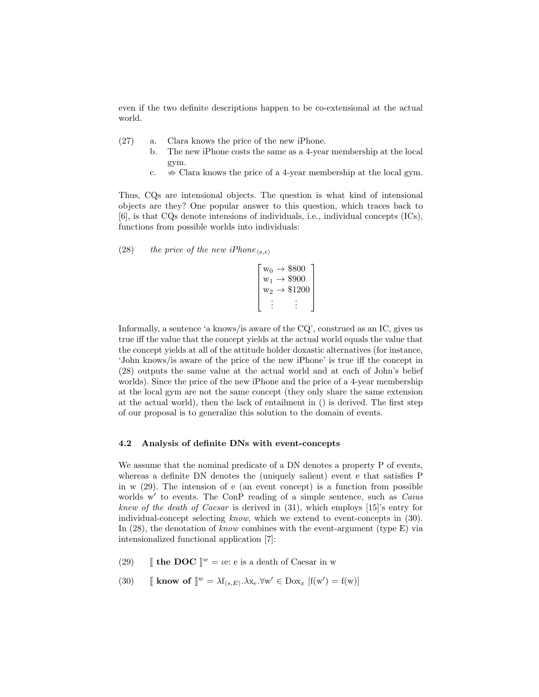even if the two definite descriptions happen to be co-extensional at the actual world.

- (27) a. Clara knows the price of the new iPhone.
	- b. The new iPhone costs the same as a 4-year membership at the local gym.
	- c.  $\Rightarrow$  Clara knows the price of a 4-year membership at the local gym.

Thus, CQs are intensional objects. The question is what kind of intensional objects are they? One popular answer to this question, which traces back to [6], is that CQs denote intensions of individuals, i.e., individual concepts (ICs), functions from possible worlds into individuals:

(28) *the price of the new iPhone*  $\langle s, \epsilon \rangle$ 

 $\sqrt{ }$   $w_0 \rightarrow $800$  $w_1 \rightarrow $900$ w<sub>2</sub> → \$1200<br>:<br>: 1 

Informally, a sentence 'a knows/is aware of the CQ', construed as an IC, gives us true iff the value that the concept yields at the actual world equals the value that the concept yields at all of the attitude holder doxastic alternatives (for instance, 'John knows/is aware of the price of the new iPhone' is true iff the concept in (28) outputs the same value at the actual world and at each of John's belief worlds). Since the price of the new iPhone and the price of a 4-year membership at the local gym are not the same concept (they only share the same extension at the actual world), then the lack of entailment in () is derived. The first step of our proposal is to generalize this solution to the domain of events.

#### **4.2 Analysis of definite DNs with event-concepts**

We assume that the nominal predicate of a DN denotes a property P of events, whereas a definite DN denotes the (uniquely salient) event e that satisfies P in  $w(29)$ . The intension of e (an event concept) is a function from possible worlds w*′* to events. The ConP reading of a simple sentence, such as *Caius knew of the death of Caesar* is derived in (31), which employs [15]'s entry for individual-concept selecting *know*, which we extend to event-concepts in (30). In (28), the denotation of *know* combines with the event-argument (type E) via intensionalized functional application [7]:

- (29)  $\int$  **the DOC**  $\int v = ie$ : e is a death of Caesar in w
- (30)  $\left[ \text{know of } \right]^{w} = \lambda f_{\langle s, E \rangle} \cdot \lambda x_{e}. \forall w' \in \text{Dox}_{x}$   $\left[ f(w') = f(w) \right]$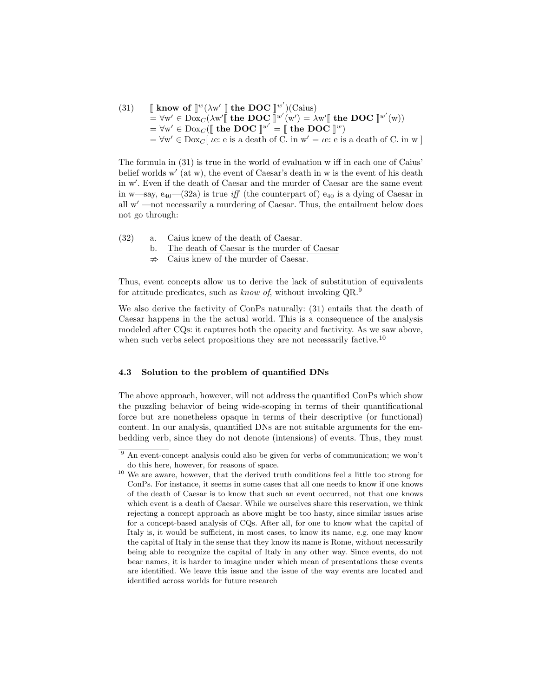(31) **[** know of  $\int w/\sqrt{a}$  **h b DOC**  $\int w'/\sqrt{b}$  **c h** *w*  $\forall w' \in \text{Dox}_{C}(\lambda w' \llbracket \text{ the } \text{DOC} \rrbracket^{w'}(w') = \lambda w' \llbracket \text{ the } \text{DOC} \rrbracket^{w'}(w)$  $= \forall w' \in \text{Dox}_C (\llbracket \text{ the } \textbf{DOC} \rrbracket^{w'} = \llbracket \text{ the } \textbf{DOC} \rrbracket^{w})$ = *∀*w *′ ∈* Dox*<sup>C</sup>* [ *ι*e: e is a death of C. in w*′* = *ι*e: e is a death of C. in w ]

The formula in (31) is true in the world of evaluation w iff in each one of Caius' belief worlds w*′* (at w), the event of Caesar's death in w is the event of his death in w*′* . Even if the death of Caesar and the murder of Caesar are the same event in w—say,  $e_{40}$ —(32a) is true *iff* (the counterpart of)  $e_{40}$  is a dying of Caesar in all w*′* —not necessarily a murdering of Caesar. Thus, the entailment below does not go through:

- (32) a. Caius knew of the death of Caesar.
	- b. The death of Caesar is the murder of Caesar
	- $\Rightarrow$  Caius knew of the murder of Caesar.

Thus, event concepts allow us to derive the lack of substitution of equivalents for attitude predicates, such as *know of*, without invoking QR.<sup>9</sup>

We also derive the factivity of ConPs naturally: (31) entails that the death of Caesar happens in the the actual world. This is a consequence of the analysis modeled after CQs: it captures both the opacity and factivity. As we saw above, when such verbs select propositions they are not necessarily factive.<sup>10</sup>

#### **4.3 Solution to the problem of quantified DNs**

The above approach, however, will not address the quantified ConPs which show the puzzling behavior of being wide-scoping in terms of their quantificational force but are nonetheless opaque in terms of their descriptive (or functional) content. In our analysis, quantified DNs are not suitable arguments for the embedding verb, since they do not denote (intensions) of events. Thus, they must

 $\frac{9}{9}$  An event-concept analysis could also be given for verbs of communication; we won't do this here, however, for reasons of space.

 $^{10}$  We are aware, however, that the derived truth conditions feel a little too strong for ConPs. For instance, it seems in some cases that all one needs to know if one knows of the death of Caesar is to know that such an event occurred, not that one knows which event is a death of Caesar. While we ourselves share this reservation, we think rejecting a concept approach as above might be too hasty, since similar issues arise for a concept-based analysis of CQs. After all, for one to know what the capital of Italy is, it would be sufficient, in most cases, to know its name, e.g. one may know the capital of Italy in the sense that they know its name is Rome, without necessarily being able to recognize the capital of Italy in any other way. Since events, do not bear names, it is harder to imagine under which mean of presentations these events are identified. We leave this issue and the issue of the way events are located and identified across worlds for future research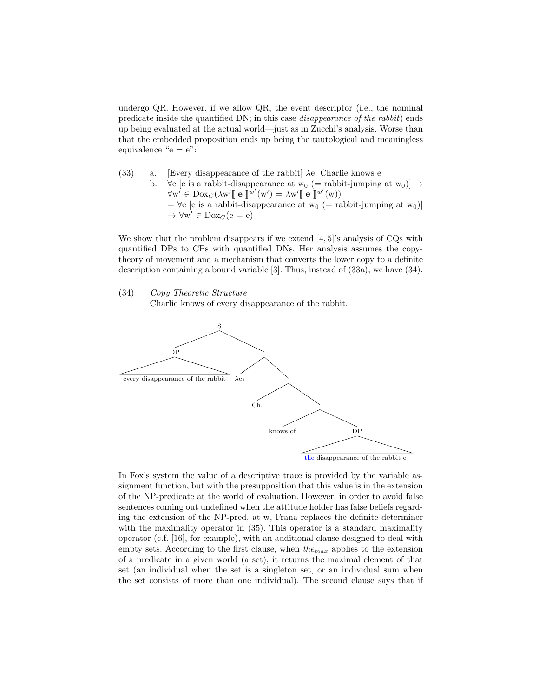undergo QR. However, if we allow QR, the event descriptor (i.e., the nominal predicate inside the quantified DN; in this case *disappearance of the rabbit*) ends up being evaluated at the actual world—just as in Zucchi's analysis. Worse than that the embedded proposition ends up being the tautological and meaningless equivalence " $e = e$ ":

(33) a. [Every disappearance of the rabbit] *λ*e. Charlie knows e b.  $\forall e$  [e is a rabbit-disappearance at  $w_0$  (= rabbit-jumping at  $w_0$ )]  $\rightarrow$  $\forall w' \in \text{Dox}_C(\lambda w' \llbracket \mathbf{e} \rrbracket^{w'}(w') = \lambda w' \llbracket \mathbf{e} \rrbracket^{w'}(w)$  $= \forall e$  [e is a rabbit-disappearance at w<sub>0</sub> (= rabbit-jumping at w<sub>0</sub>)]  $\rightarrow \forall w' \in \text{Dox}_C(e = e)$ 

We show that the problem disappears if we extend [4, 5]'s analysis of CQs with quantified DPs to CPs with quantified DNs. Her analysis assumes the copytheory of movement and a mechanism that converts the lower copy to a definite description containing a bound variable [3]. Thus, instead of (33a), we have (34).

(34) *Copy Theoretic Structure* Charlie knows of every disappearance of the rabbit.



In Fox's system the value of a descriptive trace is provided by the variable assignment function, but with the presupposition that this value is in the extension of the NP-predicate at the world of evaluation. However, in order to avoid false sentences coming out undefined when the attitude holder has false beliefs regarding the extension of the NP-pred. at w, Frana replaces the definite determiner with the maximality operator in  $(35)$ . This operator is a standard maximality operator (c.f. [16], for example), with an additional clause designed to deal with empty sets. According to the first clause, when *themax* applies to the extension of a predicate in a given world (a set), it returns the maximal element of that set (an individual when the set is a singleton set, or an individual sum when the set consists of more than one individual). The second clause says that if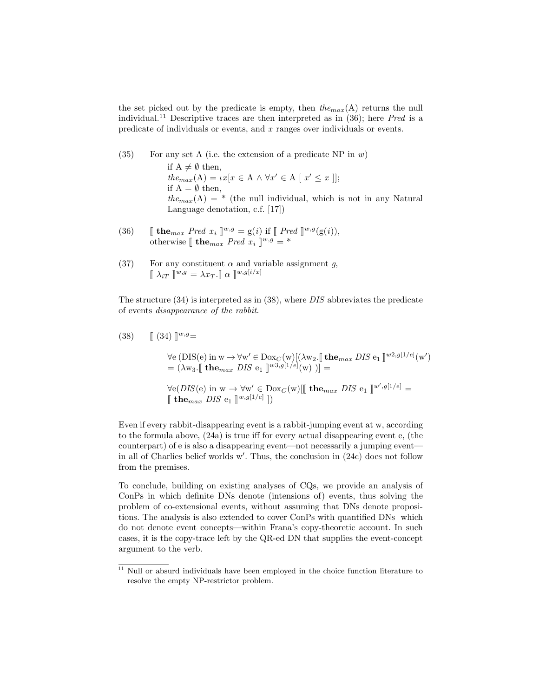the set picked out by the predicate is empty, then *themax*(A) returns the null individual.<sup>11</sup> Descriptive traces are then interpreted as in (36); here *Pred* is a predicate of individuals or events, and *x* ranges over individuals or events.

(35) For any set A (i.e. the extension of a predicate NP in *w*)

if  $A \neq \emptyset$  then,  $the_{max}$  $(A) = \iota x[x \in A \land \forall x' \in A [x' \leq x$ ]]; if  $A = \emptyset$  then,  $the_{max}(A) = *$  (the null individual, which is not in any Natural Language denotation, c.f. [17])

- (36)  $\llbracket \textbf{the}_{max} \text{ Pred } x_i \rrbracket^{w,g} = g(i) \text{ if } \llbracket \text{ Pred } \rrbracket^{w,g}(g(i)),$ otherwise  $\llbracket$  **the**<sub>*max*</sub> *Pred*  $x_i \rrbracket^{w,g} = *$
- (37) For any constituent  $\alpha$  and variable assignment  $q$ ,  $\llbracket \lambda_{iT} \rrbracket^{w,g} = \lambda x_T. \llbracket \alpha \rrbracket^{w,g[i/x]}$

The structure (34) is interpreted as in (38), where *DIS* abbreviates the predicate of events *disappearance of the rabbit*.

(38)  $[(34)]^{w,g}=$ 

 $\forall e \left( \text{DIS}(e) \text{ in } W \rightarrow \forall w' \in \text{Dox}_C(w) [(\lambda w_2, \llbracket \text{ the}_{max} \text{ DIS } e_1 \rrbracket^{w2, g[1/e]}(w') \right)$  $= (\lambda w_3. [$  **the**<sub>*max</sub> DIS* e<sub>1</sub>  $]^{w3,g[1/e]}(w)$   $)] =$ </sub>

 $\forall e(DIS(e) \text{ in } W \rightarrow \forall w' \in \text{Dox}_C(w)[[ \text{ the }_{max} \text{ DIS } e_1 \text{ ]}^{w',g[1/e]} = \text{DIS} e_1 \text{ and } g \text{ is the }_{max} \text{ PIS}$  $\llbracket$  the<sub>*max*</sub> *DIS* e<sub>1</sub>  $\llbracket w,g[1/e] \rrbracket)$ 

Even if every rabbit-disappearing event is a rabbit-jumping event at w, according to the formula above, (24a) is true iff for every actual disappearing event e, (the counterpart) of e is also a disappearing event—not necessarily a jumping event in all of Charlies belief worlds w*′* . Thus, the conclusion in (24c) does not follow from the premises.

To conclude, building on existing analyses of CQs, we provide an analysis of ConPs in which definite DNs denote (intensions of) events, thus solving the problem of co-extensional events, without assuming that DNs denote propositions. The analysis is also extended to cover ConPs with quantified DNs which do not denote event concepts—within Frana's copy-theoretic account. In such cases, it is the copy-trace left by the QR-ed DN that supplies the event-concept argument to the verb.

 $11$  Null or absurd individuals have been employed in the choice function literature to resolve the empty NP-restrictor problem.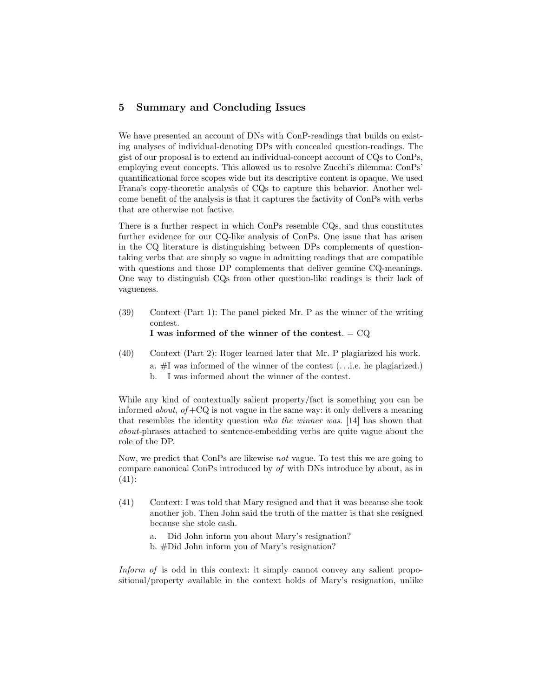# **5 Summary and Concluding Issues**

We have presented an account of DNs with ConP-readings that builds on existing analyses of individual-denoting DPs with concealed question-readings. The gist of our proposal is to extend an individual-concept account of CQs to ConPs, employing event concepts. This allowed us to resolve Zucchi's dilemma: ConPs' quantificational force scopes wide but its descriptive content is opaque. We used Frana's copy-theoretic analysis of CQs to capture this behavior. Another welcome benefit of the analysis is that it captures the factivity of ConPs with verbs that are otherwise not factive.

There is a further respect in which ConPs resemble CQs, and thus constitutes further evidence for our CQ-like analysis of ConPs. One issue that has arisen in the CQ literature is distinguishing between DPs complements of questiontaking verbs that are simply so vague in admitting readings that are compatible with questions and those DP complements that deliver genuine CQ-meanings. One way to distinguish CQs from other question-like readings is their lack of vagueness.

- (39) Context (Part 1): The panel picked Mr. P as the winner of the writing contest. **I was informed of the winner of the contest**. = CQ
- (40) Context (Part 2): Roger learned later that Mr. P plagiarized his work. a. #I was informed of the winner of the contest (*. . .*i.e. he plagiarized.) b. I was informed about the winner of the contest.

While any kind of contextually salient property/fact is something you can be informed *about*, *of* +CQ is not vague in the same way: it only delivers a meaning that resembles the identity question *who the winner was*. [14] has shown that *about-*phrases attached to sentence-embedding verbs are quite vague about the role of the DP.

Now, we predict that ConPs are likewise *not* vague. To test this we are going to compare canonical ConPs introduced by *of* with DNs introduce by about, as in (41):

- (41) Context: I was told that Mary resigned and that it was because she took another job. Then John said the truth of the matter is that she resigned because she stole cash.
	- Did John inform you about Mary's resignation?
	- b. #Did John inform you of Mary's resignation?

*Inform of* is odd in this context: it simply cannot convey any salient propositional/property available in the context holds of Mary's resignation, unlike